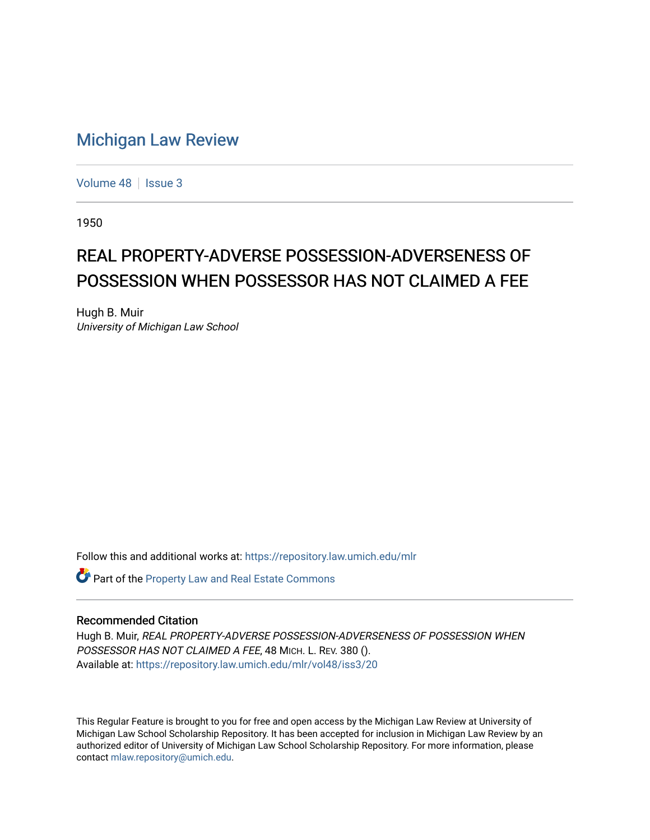## [Michigan Law Review](https://repository.law.umich.edu/mlr)

[Volume 48](https://repository.law.umich.edu/mlr/vol48) | [Issue 3](https://repository.law.umich.edu/mlr/vol48/iss3)

1950

## REAL PROPERTY-ADVERSE POSSESSION-ADVERSENESS OF POSSESSION WHEN POSSESSOR HAS NOT CLAIMED A FEE

Hugh B. Muir University of Michigan Law School

Follow this and additional works at: [https://repository.law.umich.edu/mlr](https://repository.law.umich.edu/mlr?utm_source=repository.law.umich.edu%2Fmlr%2Fvol48%2Fiss3%2F20&utm_medium=PDF&utm_campaign=PDFCoverPages) 

Part of the [Property Law and Real Estate Commons](http://network.bepress.com/hgg/discipline/897?utm_source=repository.law.umich.edu%2Fmlr%2Fvol48%2Fiss3%2F20&utm_medium=PDF&utm_campaign=PDFCoverPages) 

## Recommended Citation

Hugh B. Muir, REAL PROPERTY-ADVERSE POSSESSION-ADVERSENESS OF POSSESSION WHEN POSSESSOR HAS NOT CLAIMED A FEE, 48 MICH. L. REV. 380 (). Available at: [https://repository.law.umich.edu/mlr/vol48/iss3/20](https://repository.law.umich.edu/mlr/vol48/iss3/20?utm_source=repository.law.umich.edu%2Fmlr%2Fvol48%2Fiss3%2F20&utm_medium=PDF&utm_campaign=PDFCoverPages) 

This Regular Feature is brought to you for free and open access by the Michigan Law Review at University of Michigan Law School Scholarship Repository. It has been accepted for inclusion in Michigan Law Review by an authorized editor of University of Michigan Law School Scholarship Repository. For more information, please contact [mlaw.repository@umich.edu](mailto:mlaw.repository@umich.edu).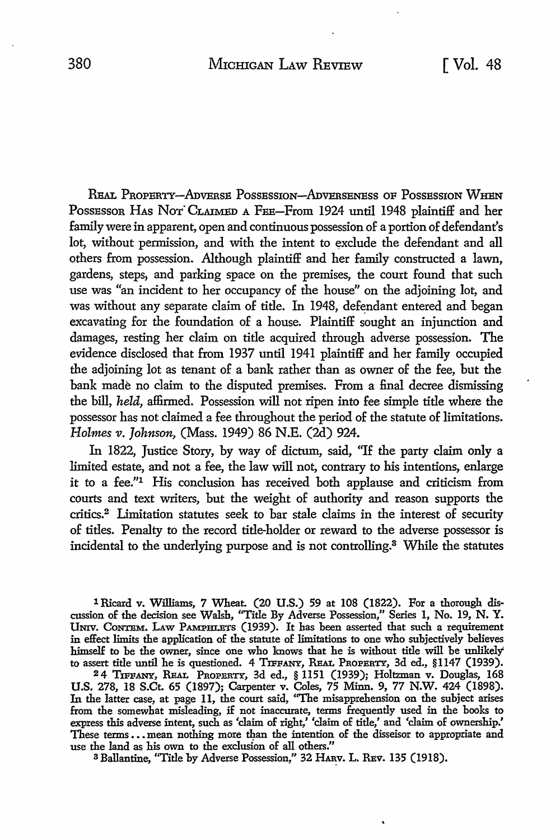REAL PROPERTY-ADVERSE POSSESSION-ADVERSENESS OF POSSESSION WHEN Possessor HAs Nor CLAIMED A FEE-From 1924 until 1948 plaintiff and her family were in apparent, open and continuous possession of a portion of defendant's lot, without permission, and with the intent to exclude the defendant and all others from possession. Although plaintiff and her family constructed a lawn, gardens, steps, and parking space on the premises, the court found that such use was "an incident to her occupancy of the house" on the adjoining lot, and was without any separate claim of title. In 1948, defendant entered and began excavating for the foundation of a house. Plaintiff sought an injunction and damages, resting her claim on title acquired through adverse possession. The evidence disclosed that from 1937 until 1941 plaintiff and her family occupied the adjoining lot as tenant of a bank rather than as owner of the fee, but the bank made no claim to the disputed premises. From a final decree dismissing the bill, *held,* affirmed. Possession will not ripen into fee simple title where the possessor has not claimed a fee throughout the period of the statute of limitations. *Holmes v. Johnson,* (Mass. 1949) 86 N.E. (2d) 924.

In 1822, Justice Story, by way of dictum, said, "If the party claim only a limited estate, and not a fee, the law will not, contrary to his intentions, enlarge it to a fee.''1 His conclusion has received both applause and criticism from courts and text writers, but the weight of authority and reason supports the critics.2 Limitation statutes seek to bar stale claims in the interest of security of titles. Penalty to the record title-holder or reward to the adverse possessor is incidental to the underlying purpose and is not controlling.8 While the statutes

1 Ricard v. Williams, 7 Wheat. (20 U.S.) 59 at 108 (1822). For a thorough discussion of the decision see Walsh, "Title By Adverse Possession," Series 1, No. 19, N. Y. UNIV. CONTEM. LAW PAMPHLETS (1939). It has been asserted that such a requirement in effect limits the application of the statute of limitations to one who subjectively believes himself to be the owner, since one who knows that he is without title will be unlikely' to assert title until he is questioned. 4 TIFFANY, REAL PROPERTY, 3d ed., §1147 (1939).

2 4 TIFFANY, REAL PROPERTY, 3d ed., § 1151 (1939); Holtzman v. Douglas, 168 U.S. 278, 18 S.Ct. 65 (1897); Carpenter v. Coles, 75 Minn. 9, 77 N.W. 424 (1898). In the latter case, at page **11,** the court said, ''The misapprehension on the subject arises from the somewhat misleading, if not inaccurate, terms frequently used in the books to express this adverse intent, such as 'claim of right,' 'claim of title,' and 'claim of ownership.' These terms...mean nothing more than the intention of the disseisor to appropriate and use the land as his own to the exclusion of all others.''

<sup>3</sup> Ballantine, "Title by Adverse Possession," 32 HARV. L. REV. 135 (1918).